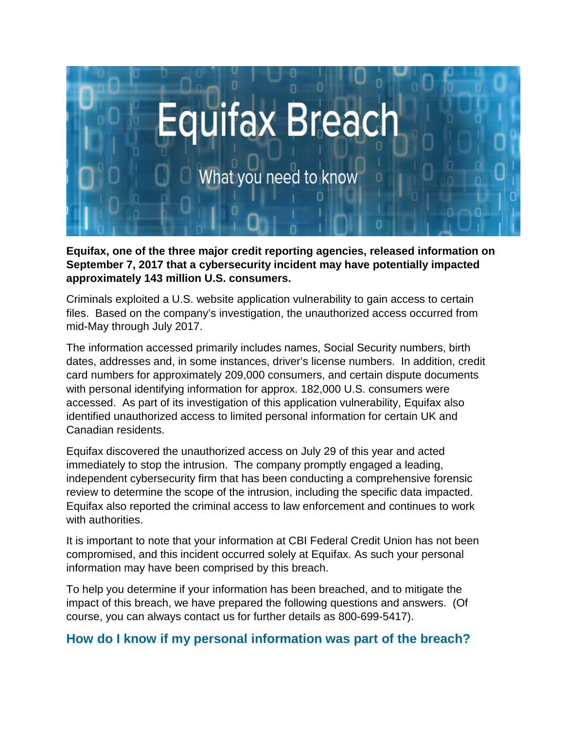

**Equifax, one of the three major credit reporting agencies, released information on September 7, 2017 that a cybersecurity incident may have potentially impacted approximately 143 million U.S. consumers.**

Criminals exploited a U.S. website application vulnerability to gain access to certain files. Based on the company's investigation, the unauthorized access occurred from mid-May through July 2017.

The information accessed primarily includes names, Social Security numbers, birth dates, addresses and, in some instances, driver's license numbers. In addition, credit card numbers for approximately 209,000 consumers, and certain dispute documents with personal identifying information for approx. 182,000 U.S. consumers were accessed. As part of its investigation of this application vulnerability, Equifax also identified unauthorized access to limited personal information for certain UK and Canadian residents.

Equifax discovered the unauthorized access on July 29 of this year and acted immediately to stop the intrusion. The company promptly engaged a leading, independent cybersecurity firm that has been conducting a comprehensive forensic review to determine the scope of the intrusion, including the specific data impacted. Equifax also reported the criminal access to law enforcement and continues to work with authorities.

It is important to note that your information at CBI Federal Credit Union has not been compromised, and this incident occurred solely at Equifax. As such your personal information may have been comprised by this breach.

To help you determine if your information has been breached, and to mitigate the impact of this breach, we have prepared the following questions and answers. (Of course, you can always contact us for further details as 800-699-5417).

### **How do I know if my personal information was part of the breach?**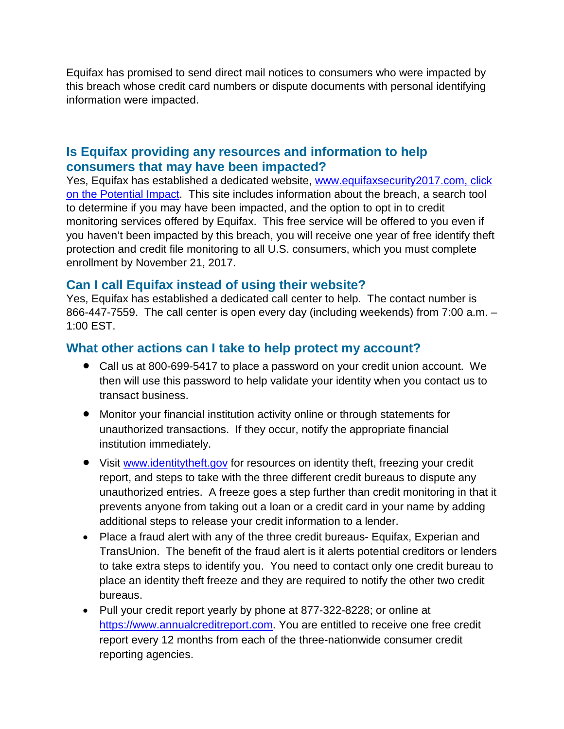Equifax has promised to send direct mail notices to consumers who were impacted by this breach whose credit card numbers or dispute documents with personal identifying information were impacted.

### **Is Equifax providing any resources and information to help consumers that may have been impacted?**

Yes, Equifax has established a dedicated website, [www.equifaxsecurity2017.com,](http://www.equifaxsecurity2017.com/) click on the Potential Impact. This site includes information about the breach, a search tool to determine if you may have been impacted, and the option to opt in to credit monitoring services offered by Equifax. This free service will be offered to you even if you haven't been impacted by this breach, you will receive one year of free identify theft protection and credit file monitoring to all U.S. consumers, which you must complete enrollment by November 21, 2017.

# **Can I call Equifax instead of using their website?**

Yes, Equifax has established a dedicated call center to help. The contact number is 866-447-7559. The call center is open every day (including weekends) from 7:00 a.m. – 1:00 EST.

### **What other actions can I take to help protect my account?**

- Call us at 800-699-5417 to place a password on your credit union account. We then will use this password to help validate your identity when you contact us to transact business.
- Monitor your financial institution activity online or through statements for unauthorized transactions. If they occur, notify the appropriate financial institution immediately.
- Visit [www.identitytheft.gov](http://www.identitytheft.gov/) for resources on identity theft, freezing your credit report, and steps to take with the three different credit bureaus to dispute any unauthorized entries. A freeze goes a step further than credit monitoring in that it prevents anyone from taking out a loan or a credit card in your name by adding additional steps to release your credit information to a lender.
- Place a fraud alert with any of the three credit bureaus- Equifax, Experian and TransUnion. The benefit of the fraud alert is it alerts potential creditors or lenders to take extra steps to identify you. You need to contact only one credit bureau to place an identity theft freeze and they are required to notify the other two credit bureaus.
- Pull your credit report yearly by phone at 877-322-8228; or online at [https://www.annualcreditreport.com.](https://www.annualcreditreport.com/) You are entitled to receive one free credit report every 12 months from each of the three-nationwide consumer credit reporting agencies.